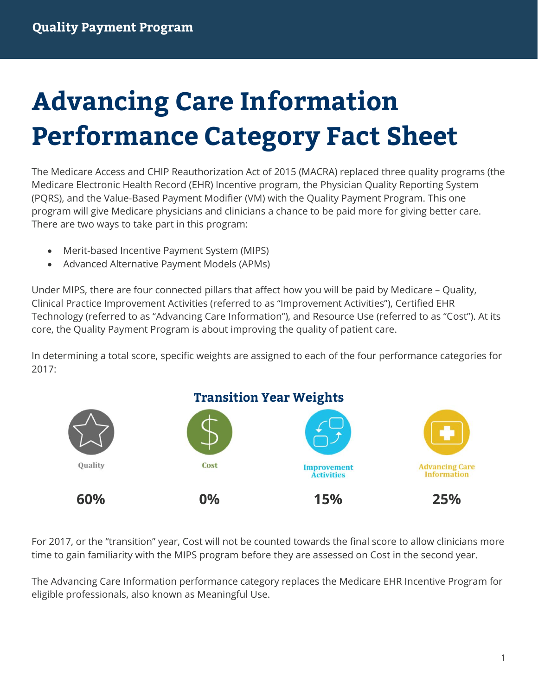# **Advancing Care Information Performance Category Fact Sheet**

The Medicare Access and CHIP Reauthorization Act of 2015 (MACRA) replaced three quality programs (the Medicare Electronic Health Record (EHR) Incentive program, the Physician Quality Reporting System (PQRS), and the Value-Based Payment Modifier (VM) with the Quality Payment Program. This one program will give Medicare physicians and clinicians a chance to be paid more for giving better care. There are two ways to take part in this program:

- Merit-based Incentive Payment System (MIPS)
- Advanced Alternative Payment Models (APMs)

Under MIPS, there are four connected pillars that affect how you will be paid by Medicare – Quality, Clinical Practice Improvement Activities (referred to as "Improvement Activities"), Certified EHR Technology (referred to as "Advancing Care Information"), and Resource Use (referred to as "Cost"). At its core, the Quality Payment Program is about improving the quality of patient care.

In determining a total score, specific weights are assigned to each of the four performance categories for 2017:



For 2017, or the "transition" year, Cost will not be counted towards the final score to allow clinicians more time to gain familiarity with the MIPS program before they are assessed on Cost in the second year.

The Advancing Care Information performance category replaces the Medicare EHR Incentive Program for eligible professionals, also known as Meaningful Use.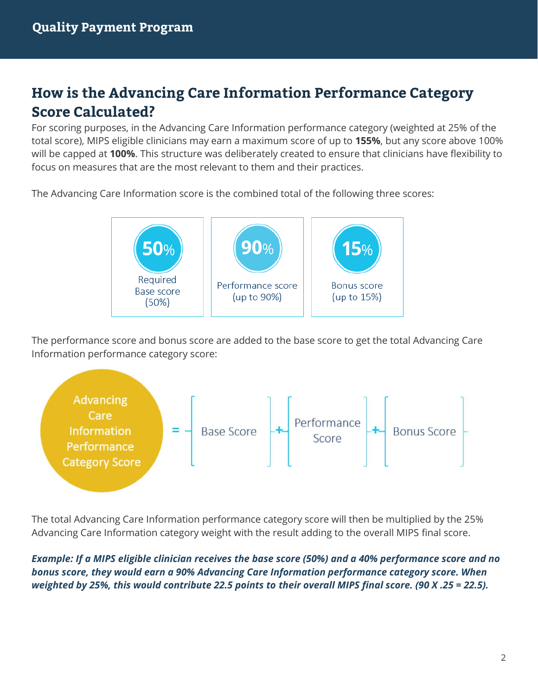## **How is the Advancing Care Information Performance Category Score Calculated?**

For scoring purposes, in the Advancing Care Information performance category (weighted at 25% of the total score), MIPS eligible clinicians may earn a maximum score of up to **155%**, but any score above 100% will be capped at **100%**. This structure was deliberately created to ensure that clinicians have flexibility to focus on measures that are the most relevant to them and their practices.

The Advancing Care Information score is the combined total of the following three scores:



The performance score and bonus score are added to the base score to get the total Advancing Care Information performance category score:



The total Advancing Care Information performance category score will then be multiplied by the 25% Advancing Care Information category weight with the result adding to the overall MIPS final score.

*Example: If a MIPS eligible clinician receives the base score (50%) and a 40% performance score and no bonus score, they would earn a 90% Advancing Care Information performance category score. When weighted by 25%, this would contribute 22.5 points to their overall MIPS final score. (90 X .25 = 22.5).*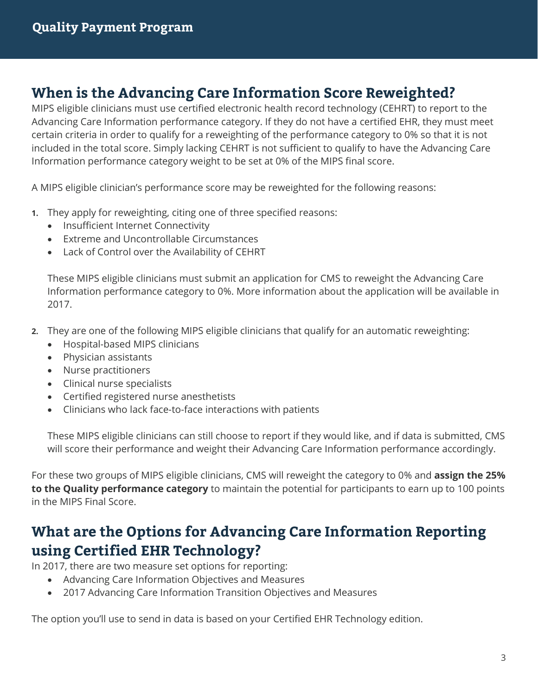## **When is the Advancing Care Information Score Reweighted?**

MIPS eligible clinicians must use certified electronic health record technology (CEHRT) to report to the Advancing Care Information performance category. If they do not have a certified EHR, they must meet certain criteria in order to qualify for a reweighting of the performance category to 0% so that it is not included in the total score. Simply lacking CEHRT is not sufficient to qualify to have the Advancing Care Information performance category weight to be set at 0% of the MIPS final score.

A MIPS eligible clinician's performance score may be reweighted for the following reasons:

- **1.** They apply for reweighting, citing one of three specified reasons:
	- Insufficient Internet Connectivity
	- Extreme and Uncontrollable Circumstances
	- Lack of Control over the Availability of CEHRT

These MIPS eligible clinicians must submit an application for CMS to reweight the Advancing Care Information performance category to 0%. More information about the application will be available in 2017.

- **2.** They are one of the following MIPS eligible clinicians that qualify for an automatic reweighting:
	- Hospital-based MIPS clinicians
	- Physician assistants
	- Nurse practitioners
	- Clinical nurse specialists
	- Certified registered nurse anesthetists
	- Clinicians who lack face-to-face interactions with patients

These MIPS eligible clinicians can still choose to report if they would like, and if data is submitted, CMS will score their performance and weight their Advancing Care Information performance accordingly.

For these two groups of MIPS eligible clinicians, CMS will reweight the category to 0% and **assign the 25% to the Quality performance category** to maintain the potential for participants to earn up to 100 points in the MIPS Final Score.

## **What are the Options for Advancing Care Information Reporting using Certified EHR Technology?**

In 2017, there are two measure set options for reporting:

- Advancing Care Information Objectives and Measures
- 2017 Advancing Care Information Transition Objectives and Measures

The option you'll use to send in data is based on your Certified EHR Technology edition.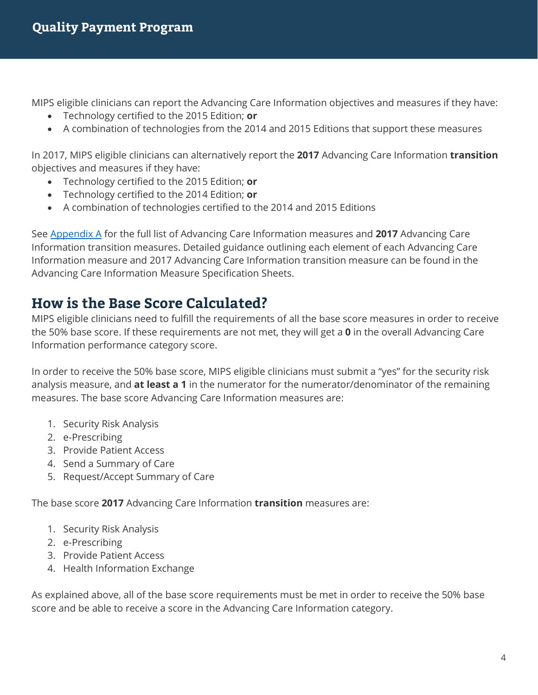MIPS eligible clinicians can report the Advancing Care Information objectives and measures if they have:

- Technology certified to the 2015 Edition; **or**
- A combination of technologies from the 2014 and 2015 Editions that support these measures

In 2017, MIPS eligible clinicians can alternatively report the **2017** Advancing Care Information **transition**  objectives and measures if they have:

- Technology certified to the 2015 Edition; **or**
- Technology certified to the 2014 Edition; **or**
- A combination of technologies certified to the 2014 and 2015 Editions

See [Appendix A](#page-6-0) for the full list of Advancing Care Information measures and **2017** Advancing Care Information transition measures. Detailed guidance outlining each element of each Advancing Care Information measure and 2017 Advancing Care Information transition measure can be found in the Advancing Care Information Measure Specification Sheets.

## **How is the Base Score Calculated?**

MIPS eligible clinicians need to fulfill the requirements of all the base score measures in order to receive the 50% base score. If these requirements are not met, they will get a **0** in the overall Advancing Care Information performance category score.

In order to receive the 50% base score, MIPS eligible clinicians must submit a "yes" for the security risk analysis measure, and **at least a 1** in the numerator for the numerator/denominator of the remaining measures. The base score Advancing Care Information measures are:

- 1. Security Risk Analysis
- 2. e-Prescribing
- 3. Provide Patient Access
- 4. Send a Summary of Care
- 5. Request/Accept Summary of Care

The base score **2017** Advancing Care Information **transition** measures are:

- 1. Security Risk Analysis
- 2. e-Prescribing
- 3. Provide Patient Access
- 4. Health Information Exchange

As explained above, all of the base score requirements must be met in order to receive the 50% base score and be able to receive a score in the Advancing Care Information category.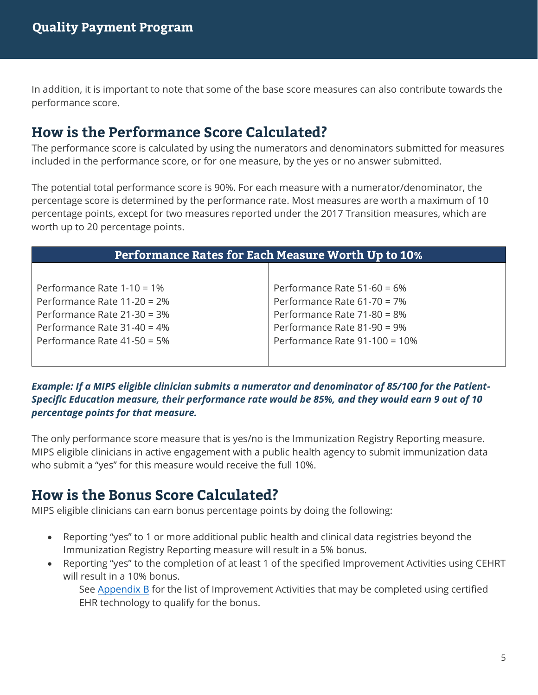In addition, it is important to note that some of the base score measures can also contribute towards the performance score.

## **How is the Performance Score Calculated?**

The performance score is calculated by using the numerators and denominators submitted for measures included in the performance score, or for one measure, by the yes or no answer submitted.

The potential total performance score is 90%. For each measure with a numerator/denominator, the percentage score is determined by the performance rate. Most measures are worth a maximum of 10 percentage points, except for two measures reported under the 2017 Transition measures, which are worth up to 20 percentage points.

| <b>Performance Rates for Each Measure Worth Up to 10%</b> |                               |  |  |
|-----------------------------------------------------------|-------------------------------|--|--|
|                                                           |                               |  |  |
| Performance Rate $1-10 = 1\%$                             | Performance Rate 51-60 = 6%   |  |  |
| Performance Rate 11-20 = 2%                               | Performance Rate 61-70 = 7%   |  |  |
| Performance Rate 21-30 = 3%                               | Performance Rate 71-80 = 8%   |  |  |
| Performance Rate $31-40 = 4\%$                            | Performance Rate 81-90 = 9%   |  |  |
| Performance Rate 41-50 = 5%                               | Performance Rate 91-100 = 10% |  |  |
|                                                           |                               |  |  |

*Example: If a MIPS eligible clinician submits a numerator and denominator of 85/100 for the Patient-Specific Education measure, their performance rate would be 85%, and they would earn 9 out of 10 percentage points for that measure.* 

The only performance score measure that is yes/no is the Immunization Registry Reporting measure. MIPS eligible clinicians in active engagement with a public health agency to submit immunization data who submit a "yes" for this measure would receive the full 10%.

## **How is the Bonus Score Calculated?**

MIPS eligible clinicians can earn bonus percentage points by doing the following:

- Reporting "yes" to 1 or more additional public health and clinical data registries beyond the Immunization Registry Reporting measure will result in a 5% bonus.
- Reporting "yes" to the completion of at least 1 of the specified Improvement Activities using CEHRT will result in a 10% bonus.

See [Appendix B](#page-8-0) for the list of Improvement Activities that may be completed using certified EHR technology to qualify for the bonus.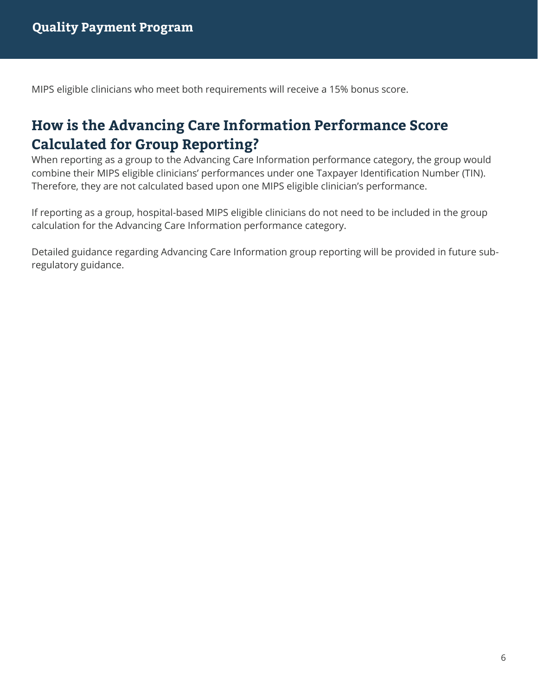MIPS eligible clinicians who meet both requirements will receive a 15% bonus score.

## **How is the Advancing Care Information Performance Score Calculated for Group Reporting?**

When reporting as a group to the Advancing Care Information performance category, the group would combine their MIPS eligible clinicians' performances under one Taxpayer Identification Number (TIN). Therefore, they are not calculated based upon one MIPS eligible clinician's performance.

If reporting as a group, hospital-based MIPS eligible clinicians do not need to be included in the group calculation for the Advancing Care Information performance category.

Detailed guidance regarding Advancing Care Information group reporting will be provided in future subregulatory guidance.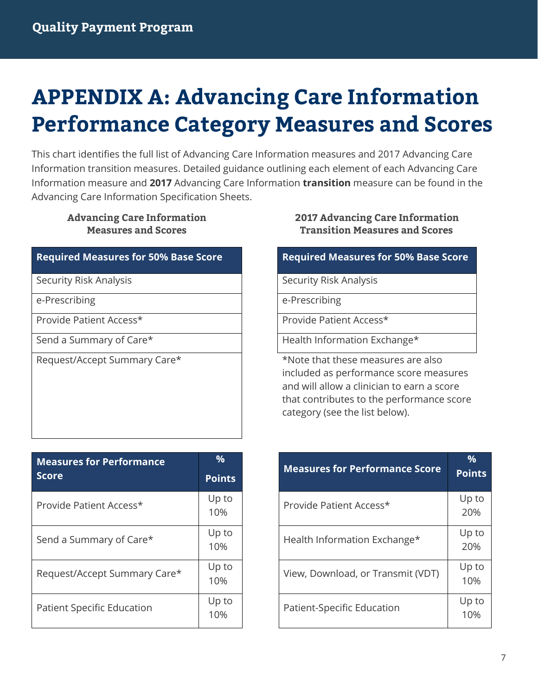# <span id="page-6-0"></span>**APPENDIX A: Advancing Care Information Performance Category Measures and Scores**

This chart identifies the full list of Advancing Care Information measures and 2017 Advancing Care Information transition measures. Detailed guidance outlining each element of each Advancing Care Information measure and **2017** Advancing Care Information **transition** measure can be found in the Advancing Care Information Specification Sheets.

### **Advancing Care Information Measures and Scores**

#### **Required Measures for 50% Base Score Required Measures for 50% Base Score**

Provide Patient Access\* The Provide Patient Access\*

| <b>Measures for Performance</b>   | $\frac{0}{0}$ |
|-----------------------------------|---------------|
| <b>Score</b>                      | <b>Points</b> |
| Provide Patient Access*           | Up to<br>10%  |
| Send a Summary of Care*           | Up to<br>10%  |
| Request/Accept Summary Care*      | Up to<br>10%  |
| <b>Patient Specific Education</b> | Up to<br>10%  |

#### **2017 Advancing Care Information Transition Measures and Scores**

Security Risk Analysis Security Risk Analysis

e-Prescribing e-Prescribing

Send a Summary of Care\* The Matth Information Exchange\*

Request/Accept Summary Care\* The state of the that these measures are also included as performance score measures and will allow a clinician to earn a score that contributes to the performance score category (see the list below).

| <b>Measures for Performance Score</b> | $\frac{9}{6}$<br><b>Points</b> |
|---------------------------------------|--------------------------------|
| Provide Patient Access*               | Up to<br>20%                   |
| Health Information Exchange*          | Up to<br>20%                   |
| View, Download, or Transmit (VDT)     | Up to<br>10%                   |
| Patient-Specific Education            | Up to<br>10%                   |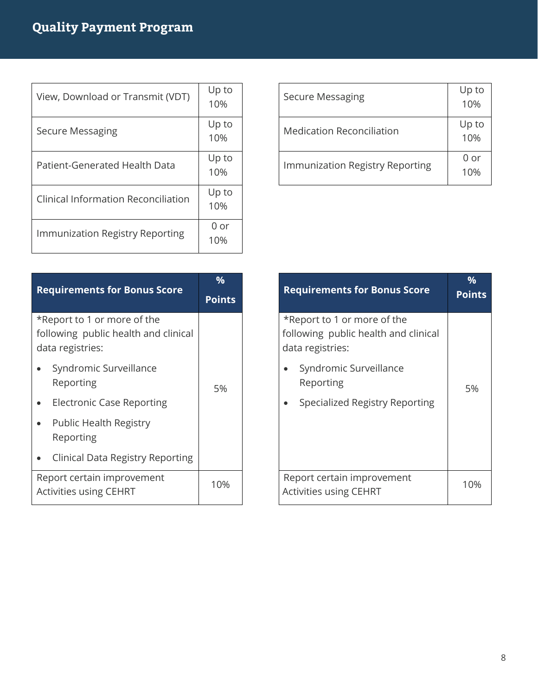| View, Download or Transmit (VDT)    | Up to<br>10% |
|-------------------------------------|--------------|
| Secure Messaging                    | Up to<br>10% |
| Patient-Generated Health Data       | Up to<br>10% |
| Clinical Information Reconciliation | Up to<br>10% |
| Immunization Registry Reporting     | 0 or<br>10%  |

| <b>Secure Messaging</b>          | Up to<br>10% |
|----------------------------------|--------------|
| <b>Medication Reconciliation</b> | Up to<br>10% |
| Immunization Registry Reporting  | 0 or<br>1 በ% |

| <b>Requirements for Bonus Score</b>                                                     | $\frac{0}{0}$ |
|-----------------------------------------------------------------------------------------|---------------|
|                                                                                         | Points        |
| *Report to 1 or more of the<br>following public health and clinical<br>data registries: |               |
| Syndromic Surveillance<br>Reporting                                                     | 5%            |
| Electronic Case Reporting                                                               |               |
| <b>Public Health Registry</b><br>Reporting                                              |               |
| Clinical Data Registry Reporting                                                        |               |
| Report certain improvement<br><b>Activities using CEHRT</b>                             | 10%           |

| <b>Requirements for Bonus Score</b>                                                     | $\frac{0}{0}$<br>Points |
|-----------------------------------------------------------------------------------------|-------------------------|
| *Report to 1 or more of the<br>following public health and clinical<br>data registries: |                         |
| Syndromic Surveillance<br>Reporting                                                     | 5%                      |
| Specialized Registry Reporting                                                          |                         |
| Report certain improvement<br><b>Activities using CEHRT</b>                             | 10%                     |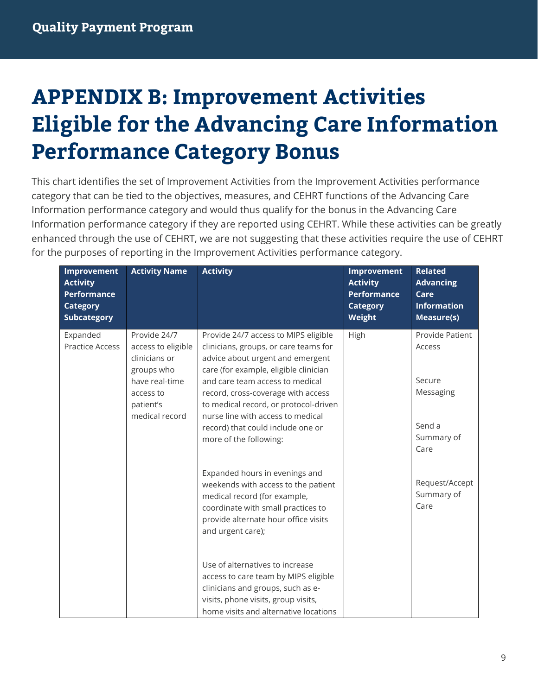# <span id="page-8-0"></span>**APPENDIX B: Improvement Activities Eligible for the Advancing Care Information Performance Category Bonus**

This chart identifies the set of Improvement Activities from the Improvement Activities performance category that can be tied to the objectives, measures, and CEHRT functions of the Advancing Care Information performance category and would thus qualify for the bonus in the Advancing Care Information performance category if they are reported using CEHRT. While these activities can be greatly enhanced through the use of CEHRT, we are not suggesting that these activities require the use of CEHRT for the purposes of reporting in the Improvement Activities performance category.

| Improvement<br><b>Activity</b><br><b>Performance</b><br><b>Category</b><br><b>Subcategory</b> | <b>Activity Name</b>                                                                | <b>Activity</b>                                                                                                                                                                                          | Improvement<br><b>Activity</b><br><b>Performance</b><br><b>Category</b><br>Weight | <b>Related</b><br><b>Advancing</b><br>Care<br><b>Information</b><br>Measure(s) |
|-----------------------------------------------------------------------------------------------|-------------------------------------------------------------------------------------|----------------------------------------------------------------------------------------------------------------------------------------------------------------------------------------------------------|-----------------------------------------------------------------------------------|--------------------------------------------------------------------------------|
| Expanded<br><b>Practice Access</b>                                                            | Provide 24/7<br>access to eligible<br>clinicians or<br>groups who<br>have real-time | Provide 24/7 access to MIPS eligible<br>clinicians, groups, or care teams for<br>advice about urgent and emergent<br>care (for example, eligible clinician<br>and care team access to medical            | High                                                                              | Provide Patient<br>Access<br>Secure                                            |
|                                                                                               | access to<br>patient's<br>medical record                                            | record, cross-coverage with access<br>to medical record, or protocol-driven<br>nurse line with access to medical<br>record) that could include one or                                                    |                                                                                   | Messaging<br>Send a<br>Summary of                                              |
|                                                                                               |                                                                                     | more of the following:                                                                                                                                                                                   |                                                                                   | Care                                                                           |
|                                                                                               |                                                                                     | Expanded hours in evenings and<br>weekends with access to the patient<br>medical record (for example,<br>coordinate with small practices to<br>provide alternate hour office visits<br>and urgent care); |                                                                                   | Request/Accept<br>Summary of<br>Care                                           |
|                                                                                               |                                                                                     | Use of alternatives to increase<br>access to care team by MIPS eligible<br>clinicians and groups, such as e-<br>visits, phone visits, group visits,<br>home visits and alternative locations             |                                                                                   |                                                                                |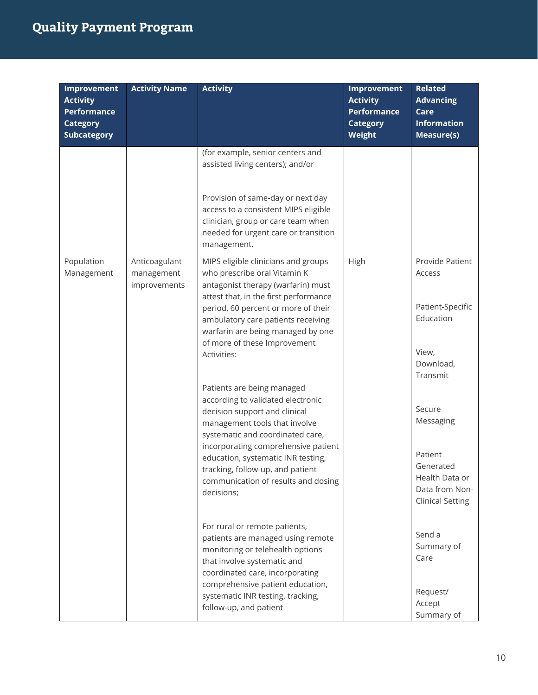| Improvement<br><b>Activity</b><br><b>Performance</b><br><b>Category</b><br><b>Subcategory</b> | <b>Activity Name</b>                        | <b>Activity</b>                                                                                                                                                                                                                                                                                                                                                                                                                                                                                                                                                                                                                                                    | Improvement<br><b>Activity</b><br><b>Performance</b><br><b>Category</b><br>Weight | <b>Related</b><br><b>Advancing</b><br>Care<br><b>Information</b><br><b>Measure(s)</b>                                                                                                                      |
|-----------------------------------------------------------------------------------------------|---------------------------------------------|--------------------------------------------------------------------------------------------------------------------------------------------------------------------------------------------------------------------------------------------------------------------------------------------------------------------------------------------------------------------------------------------------------------------------------------------------------------------------------------------------------------------------------------------------------------------------------------------------------------------------------------------------------------------|-----------------------------------------------------------------------------------|------------------------------------------------------------------------------------------------------------------------------------------------------------------------------------------------------------|
|                                                                                               |                                             | (for example, senior centers and<br>assisted living centers); and/or<br>Provision of same-day or next day<br>access to a consistent MIPS eligible<br>clinician, group or care team when<br>needed for urgent care or transition<br>management.                                                                                                                                                                                                                                                                                                                                                                                                                     |                                                                                   |                                                                                                                                                                                                            |
| Population<br>Management                                                                      | Anticoagulant<br>management<br>improvements | MIPS eligible clinicians and groups<br>who prescribe oral Vitamin K<br>antagonist therapy (warfarin) must<br>attest that, in the first performance<br>period, 60 percent or more of their<br>ambulatory care patients receiving<br>warfarin are being managed by one<br>of more of these Improvement<br>Activities:<br>Patients are being managed<br>according to validated electronic<br>decision support and clinical<br>management tools that involve<br>systematic and coordinated care,<br>incorporating comprehensive patient<br>education, systematic INR testing,<br>tracking, follow-up, and patient<br>communication of results and dosing<br>decisions; | High                                                                              | Provide Patient<br>Access<br>Patient-Specific<br>Education<br>View,<br>Download,<br>Transmit<br>Secure<br>Messaging<br>Patient<br>Generated<br>Health Data or<br>Data from Non-<br><b>Clinical Setting</b> |
|                                                                                               |                                             | For rural or remote patients,<br>patients are managed using remote<br>monitoring or telehealth options<br>that involve systematic and<br>coordinated care, incorporating<br>comprehensive patient education,<br>systematic INR testing, tracking,<br>follow-up, and patient                                                                                                                                                                                                                                                                                                                                                                                        |                                                                                   | Send a<br>Summary of<br>Care<br>Request/<br>Accept<br>Summary of                                                                                                                                           |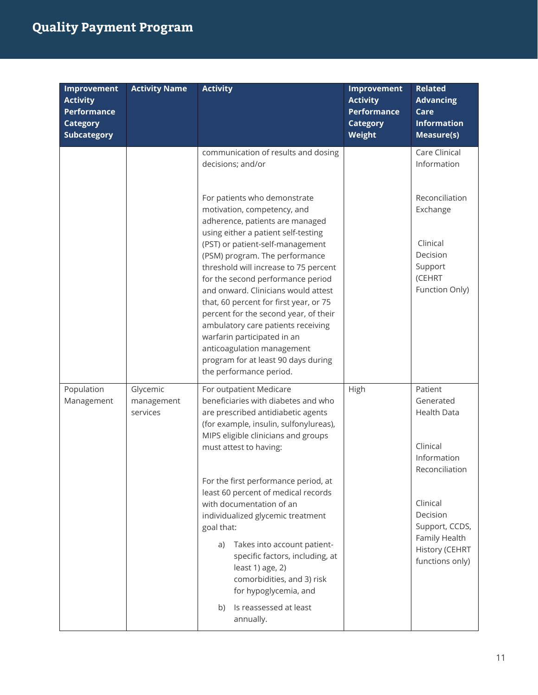| <b>Improvement</b><br><b>Activity</b><br><b>Performance</b><br><b>Category</b><br><b>Subcategory</b> | <b>Activity Name</b>               | <b>Activity</b>                                                                                                                                                                                                                                                                                                                                                                                                                                                                                                                                                                                                                                      | Improvement<br><b>Activity</b><br><b>Performance</b><br><b>Category</b><br>Weight | <b>Related</b><br><b>Advancing</b><br>Care<br><b>Information</b><br><b>Measure(s)</b>                                                                                                   |
|------------------------------------------------------------------------------------------------------|------------------------------------|------------------------------------------------------------------------------------------------------------------------------------------------------------------------------------------------------------------------------------------------------------------------------------------------------------------------------------------------------------------------------------------------------------------------------------------------------------------------------------------------------------------------------------------------------------------------------------------------------------------------------------------------------|-----------------------------------------------------------------------------------|-----------------------------------------------------------------------------------------------------------------------------------------------------------------------------------------|
|                                                                                                      |                                    | communication of results and dosing<br>decisions; and/or<br>For patients who demonstrate<br>motivation, competency, and<br>adherence, patients are managed<br>using either a patient self-testing<br>(PST) or patient-self-management<br>(PSM) program. The performance<br>threshold will increase to 75 percent<br>for the second performance period<br>and onward. Clinicians would attest<br>that, 60 percent for first year, or 75<br>percent for the second year, of their<br>ambulatory care patients receiving<br>warfarin participated in an<br>anticoagulation management<br>program for at least 90 days during<br>the performance period. |                                                                                   | Care Clinical<br>Information<br>Reconciliation<br>Exchange<br>Clinical<br>Decision<br>Support<br>(CEHRT<br>Function Only)                                                               |
| Population<br>Management                                                                             | Glycemic<br>management<br>services | For outpatient Medicare<br>beneficiaries with diabetes and who<br>are prescribed antidiabetic agents<br>(for example, insulin, sulfonylureas),<br>MIPS eligible clinicians and groups<br>must attest to having:<br>For the first performance period, at<br>least 60 percent of medical records<br>with documentation of an<br>individualized glycemic treatment<br>goal that:<br>Takes into account patient-<br>a)<br>specific factors, including, at<br>least 1) age, 2)<br>comorbidities, and 3) risk<br>for hypoglycemia, and<br>Is reassessed at least<br>b)<br>annually.                                                                        | High                                                                              | Patient<br>Generated<br><b>Health Data</b><br>Clinical<br>Information<br>Reconciliation<br>Clinical<br>Decision<br>Support, CCDS,<br>Family Health<br>History (CEHRT<br>functions only) |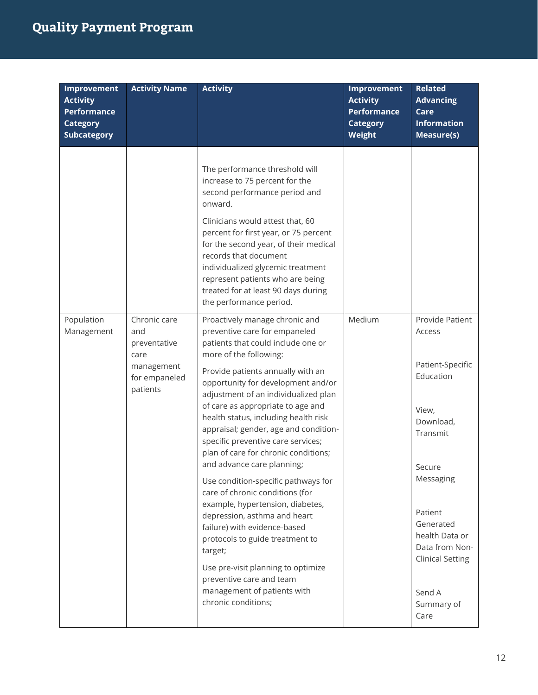| Improvement<br><b>Activity</b><br><b>Performance</b><br><b>Category</b><br><b>Subcategory</b> | <b>Activity Name</b>                                                                   | <b>Activity</b>                                                                                                                                                                                                                                                                                                                                                                                                                                                                                                                                                                                                                                                                                                                                                                                                                          | Improvement<br><b>Activity</b><br><b>Performance</b><br><b>Category</b><br>Weight | <b>Related</b><br><b>Advancing</b><br>Care<br><b>Information</b><br>Measure(s)                                                                                                                                                             |
|-----------------------------------------------------------------------------------------------|----------------------------------------------------------------------------------------|------------------------------------------------------------------------------------------------------------------------------------------------------------------------------------------------------------------------------------------------------------------------------------------------------------------------------------------------------------------------------------------------------------------------------------------------------------------------------------------------------------------------------------------------------------------------------------------------------------------------------------------------------------------------------------------------------------------------------------------------------------------------------------------------------------------------------------------|-----------------------------------------------------------------------------------|--------------------------------------------------------------------------------------------------------------------------------------------------------------------------------------------------------------------------------------------|
|                                                                                               |                                                                                        | The performance threshold will<br>increase to 75 percent for the<br>second performance period and<br>onward.<br>Clinicians would attest that, 60<br>percent for first year, or 75 percent<br>for the second year, of their medical<br>records that document<br>individualized glycemic treatment<br>represent patients who are being<br>treated for at least 90 days during<br>the performance period.                                                                                                                                                                                                                                                                                                                                                                                                                                   |                                                                                   |                                                                                                                                                                                                                                            |
| Population<br>Management                                                                      | Chronic care<br>and<br>preventative<br>care<br>management<br>for empaneled<br>patients | Proactively manage chronic and<br>preventive care for empaneled<br>patients that could include one or<br>more of the following:<br>Provide patients annually with an<br>opportunity for development and/or<br>adjustment of an individualized plan<br>of care as appropriate to age and<br>health status, including health risk<br>appraisal; gender, age and condition-<br>specific preventive care services;<br>plan of care for chronic conditions;<br>and advance care planning;<br>Use condition-specific pathways for<br>care of chronic conditions (for<br>example, hypertension, diabetes,<br>depression, asthma and heart<br>failure) with evidence-based<br>protocols to guide treatment to<br>target;<br>Use pre-visit planning to optimize<br>preventive care and team<br>management of patients with<br>chronic conditions; | Medium                                                                            | Provide Patient<br>Access<br>Patient-Specific<br>Education<br>View,<br>Download,<br>Transmit<br>Secure<br>Messaging<br>Patient<br>Generated<br>health Data or<br>Data from Non-<br><b>Clinical Setting</b><br>Send A<br>Summary of<br>Care |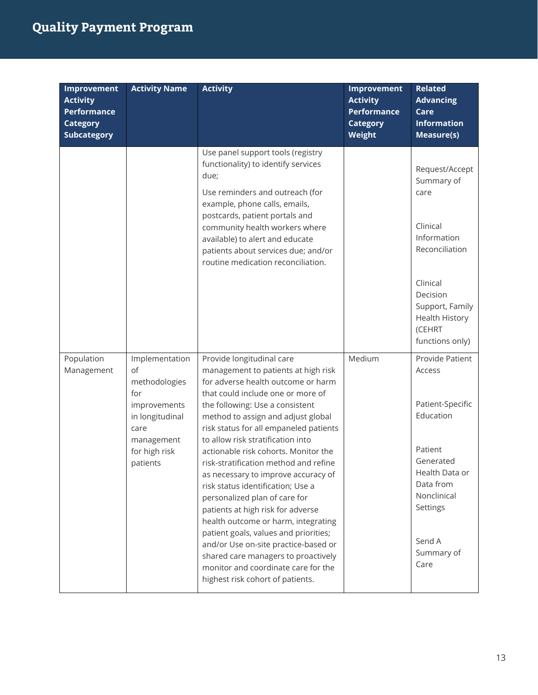| <b>Improvement</b><br><b>Activity</b><br><b>Performance</b><br><b>Category</b><br><b>Subcategory</b> | <b>Activity Name</b>                                                                                                               | <b>Activity</b>                                                                                                                                                                                                                                                                                                                                                                                                                                                                                                                                                                                                                                                                                                                                                                  | Improvement<br><b>Activity</b><br><b>Performance</b><br><b>Category</b><br><b>Weight</b> | <b>Related</b><br><b>Advancing</b><br>Care<br><b>Information</b><br><b>Measure(s)</b>                                                                                              |
|------------------------------------------------------------------------------------------------------|------------------------------------------------------------------------------------------------------------------------------------|----------------------------------------------------------------------------------------------------------------------------------------------------------------------------------------------------------------------------------------------------------------------------------------------------------------------------------------------------------------------------------------------------------------------------------------------------------------------------------------------------------------------------------------------------------------------------------------------------------------------------------------------------------------------------------------------------------------------------------------------------------------------------------|------------------------------------------------------------------------------------------|------------------------------------------------------------------------------------------------------------------------------------------------------------------------------------|
|                                                                                                      |                                                                                                                                    | Use panel support tools (registry<br>functionality) to identify services<br>due;<br>Use reminders and outreach (for<br>example, phone calls, emails,<br>postcards, patient portals and<br>community health workers where<br>available) to alert and educate<br>patients about services due; and/or<br>routine medication reconciliation.                                                                                                                                                                                                                                                                                                                                                                                                                                         |                                                                                          | Request/Accept<br>Summary of<br>care<br>Clinical<br>Information<br>Reconciliation<br>Clinical<br>Decision<br>Support, Family<br><b>Health History</b><br>(CEHRT<br>functions only) |
| Population<br>Management                                                                             | Implementation<br>of<br>methodologies<br>for<br>improvements<br>in longitudinal<br>care<br>management<br>for high risk<br>patients | Provide longitudinal care<br>management to patients at high risk<br>for adverse health outcome or harm<br>that could include one or more of<br>the following: Use a consistent<br>method to assign and adjust global<br>risk status for all empaneled patients<br>to allow risk stratification into<br>actionable risk cohorts. Monitor the<br>risk-stratification method and refine<br>as necessary to improve accuracy of<br>risk status identification; Use a<br>personalized plan of care for<br>patients at high risk for adverse<br>health outcome or harm, integrating<br>patient goals, values and priorities;<br>and/or Use on-site practice-based or<br>shared care managers to proactively<br>monitor and coordinate care for the<br>highest risk cohort of patients. | Medium                                                                                   | Provide Patient<br>Access<br>Patient-Specific<br>Education<br>Patient<br>Generated<br>Health Data or<br>Data from<br>Nonclinical<br>Settings<br>Send A<br>Summary of<br>Care       |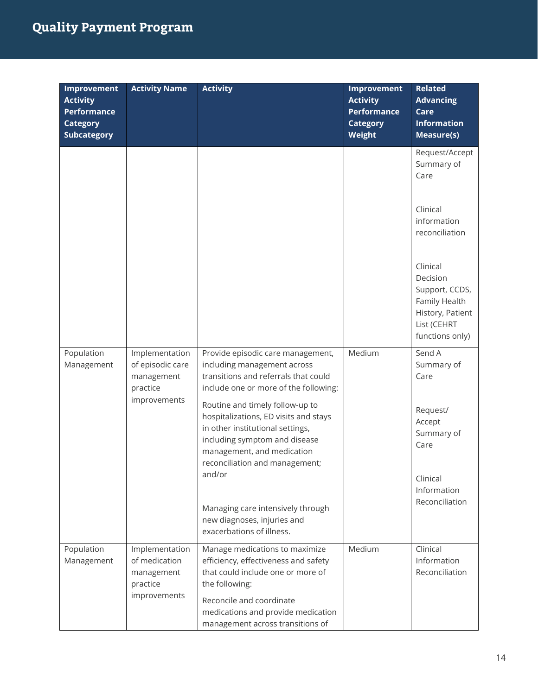| Improvement<br><b>Activity</b><br><b>Performance</b><br><b>Category</b><br><b>Subcategory</b> | <b>Activity Name</b>                                         | <b>Activity</b>                                                                                                                                                                                                         | <b>Improvement</b><br><b>Activity</b><br><b>Performance</b><br><b>Category</b><br>Weight | <b>Related</b><br><b>Advancing</b><br>Care<br><b>Information</b><br><b>Measure(s)</b>                         |
|-----------------------------------------------------------------------------------------------|--------------------------------------------------------------|-------------------------------------------------------------------------------------------------------------------------------------------------------------------------------------------------------------------------|------------------------------------------------------------------------------------------|---------------------------------------------------------------------------------------------------------------|
|                                                                                               |                                                              |                                                                                                                                                                                                                         |                                                                                          | Request/Accept<br>Summary of<br>Care<br>Clinical                                                              |
|                                                                                               |                                                              |                                                                                                                                                                                                                         |                                                                                          | information<br>reconciliation                                                                                 |
|                                                                                               |                                                              |                                                                                                                                                                                                                         |                                                                                          | Clinical<br>Decision<br>Support, CCDS,<br>Family Health<br>History, Patient<br>List (CEHRT<br>functions only) |
| Population<br>Management                                                                      | Implementation<br>of episodic care<br>management<br>practice | Provide episodic care management,<br>including management across<br>transitions and referrals that could<br>include one or more of the following:                                                                       | Medium                                                                                   | Send A<br>Summary of<br>Care                                                                                  |
|                                                                                               | improvements                                                 | Routine and timely follow-up to<br>hospitalizations, ED visits and stays<br>in other institutional settings,<br>including symptom and disease<br>management, and medication<br>reconciliation and management;<br>and/or |                                                                                          | Request/<br>Accept<br>Summary of<br>Care                                                                      |
|                                                                                               |                                                              | Managing care intensively through<br>new diagnoses, injuries and<br>exacerbations of illness.                                                                                                                           |                                                                                          | Clinical<br>Information<br>Reconciliation                                                                     |
| Population<br>Management                                                                      | Implementation<br>of medication<br>management<br>practice    | Manage medications to maximize<br>efficiency, effectiveness and safety<br>that could include one or more of<br>the following:                                                                                           | Medium                                                                                   | Clinical<br>Information<br>Reconciliation                                                                     |
|                                                                                               | improvements                                                 | Reconcile and coordinate<br>medications and provide medication<br>management across transitions of                                                                                                                      |                                                                                          |                                                                                                               |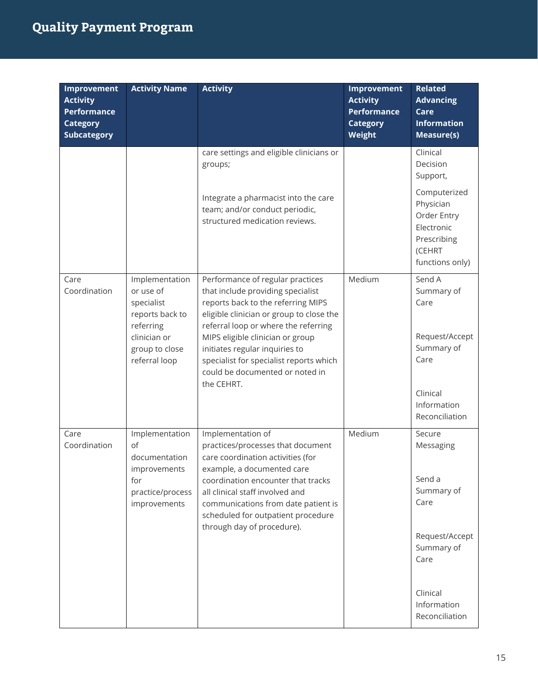| <b>Improvement</b><br><b>Activity</b><br><b>Performance</b><br><b>Category</b><br><b>Subcategory</b> | <b>Activity Name</b>                                                                                                         | <b>Activity</b>                                                                                                                                                                                                                                                                                                                                     | <b>Improvement</b><br><b>Activity</b><br><b>Performance</b><br><b>Category</b><br>Weight | <b>Related</b><br><b>Advancing</b><br>Care<br><b>Information</b><br>Measure(s)                     |
|------------------------------------------------------------------------------------------------------|------------------------------------------------------------------------------------------------------------------------------|-----------------------------------------------------------------------------------------------------------------------------------------------------------------------------------------------------------------------------------------------------------------------------------------------------------------------------------------------------|------------------------------------------------------------------------------------------|----------------------------------------------------------------------------------------------------|
|                                                                                                      |                                                                                                                              | care settings and eligible clinicians or<br>groups;                                                                                                                                                                                                                                                                                                 |                                                                                          | Clinical<br>Decision<br>Support,                                                                   |
|                                                                                                      |                                                                                                                              | Integrate a pharmacist into the care<br>team; and/or conduct periodic,<br>structured medication reviews.                                                                                                                                                                                                                                            |                                                                                          | Computerized<br>Physician<br>Order Entry<br>Electronic<br>Prescribing<br>(CEHRT<br>functions only) |
| Care<br>Coordination                                                                                 | Implementation<br>or use of<br>specialist<br>reports back to<br>referring<br>clinician or<br>group to close<br>referral loop | Performance of regular practices<br>that include providing specialist<br>reports back to the referring MIPS<br>eligible clinician or group to close the<br>referral loop or where the referring<br>MIPS eligible clinician or group<br>initiates regular inquiries to<br>specialist for specialist reports which<br>could be documented or noted in | Medium                                                                                   | Send A<br>Summary of<br>Care<br>Request/Accept<br>Summary of<br>Care                               |
|                                                                                                      |                                                                                                                              | the CEHRT.                                                                                                                                                                                                                                                                                                                                          |                                                                                          | Clinical<br>Information<br>Reconciliation                                                          |
| Care<br>Coordination                                                                                 | Implementation<br>of<br>documentation<br>improvements<br>for<br>practice/process<br>improvements                             | Implementation of<br>practices/processes that document<br>care coordination activities (for<br>example, a documented care<br>coordination encounter that tracks<br>all clinical staff involved and<br>communications from date patient is<br>scheduled for outpatient procedure<br>through day of procedure).                                       | Medium                                                                                   | Secure<br>Messaging<br>Send a<br>Summary of<br>Care                                                |
|                                                                                                      |                                                                                                                              |                                                                                                                                                                                                                                                                                                                                                     |                                                                                          | Request/Accept<br>Summary of<br>Care                                                               |
|                                                                                                      |                                                                                                                              |                                                                                                                                                                                                                                                                                                                                                     |                                                                                          | Clinical<br>Information<br>Reconciliation                                                          |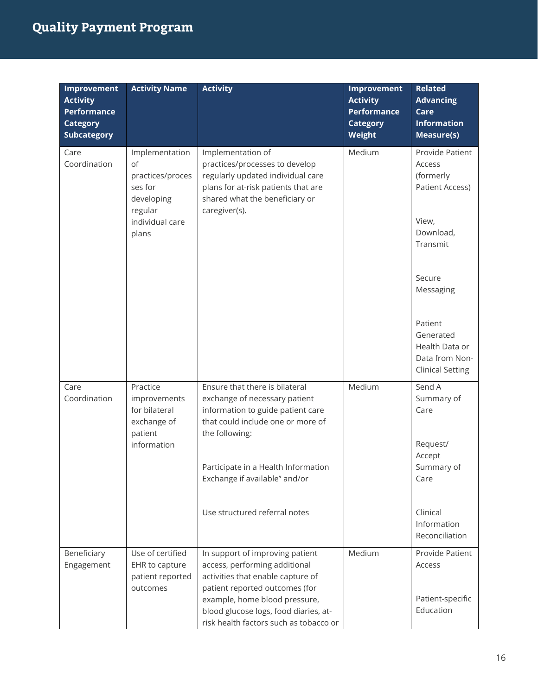| Improvement<br><b>Activity</b><br><b>Performance</b><br><b>Category</b><br><b>Subcategory</b> | <b>Activity Name</b>                                                                                     | <b>Activity</b>                                                                                                                                                                                                                                                      | Improvement<br><b>Activity</b><br><b>Performance</b><br><b>Category</b><br>Weight | <b>Related</b><br><b>Advancing</b><br>Care<br><b>Information</b><br>Measure(s)                                                                                                                                   |
|-----------------------------------------------------------------------------------------------|----------------------------------------------------------------------------------------------------------|----------------------------------------------------------------------------------------------------------------------------------------------------------------------------------------------------------------------------------------------------------------------|-----------------------------------------------------------------------------------|------------------------------------------------------------------------------------------------------------------------------------------------------------------------------------------------------------------|
| Care<br>Coordination                                                                          | Implementation<br>of<br>practices/proces<br>ses for<br>developing<br>regular<br>individual care<br>plans | Implementation of<br>practices/processes to develop<br>regularly updated individual care<br>plans for at-risk patients that are<br>shared what the beneficiary or<br>caregiver(s).                                                                                   | Medium                                                                            | Provide Patient<br>Access<br>(formerly<br><b>Patient Access)</b><br>View,<br>Download,<br>Transmit<br>Secure<br>Messaging<br>Patient<br>Generated<br>Health Data or<br>Data from Non-<br><b>Clinical Setting</b> |
| Care<br>Coordination                                                                          | Practice<br>improvements<br>for bilateral<br>exchange of<br>patient<br>information                       | Ensure that there is bilateral<br>exchange of necessary patient<br>information to guide patient care<br>that could include one or more of<br>the following:<br>Participate in a Health Information<br>Exchange if available" and/or<br>Use structured referral notes | Medium                                                                            | Send A<br>Summary of<br>Care<br>Request/<br>Accept<br>Summary of<br>Care<br>Clinical<br>Information<br>Reconciliation                                                                                            |
| Beneficiary<br>Engagement                                                                     | Use of certified<br>EHR to capture<br>patient reported<br>outcomes                                       | In support of improving patient<br>access, performing additional<br>activities that enable capture of<br>patient reported outcomes (for<br>example, home blood pressure,<br>blood glucose logs, food diaries, at-<br>risk health factors such as tobacco or          | Medium                                                                            | Provide Patient<br>Access<br>Patient-specific<br>Education                                                                                                                                                       |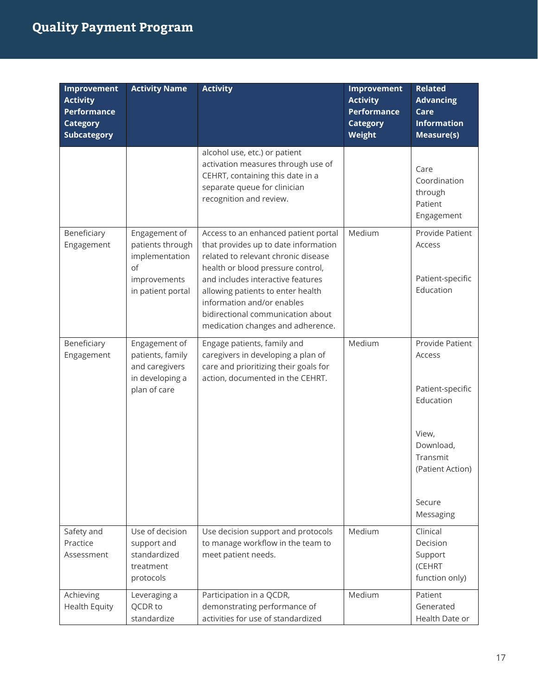| <b>Improvement</b><br><b>Activity</b><br><b>Performance</b><br><b>Category</b><br><b>Subcategory</b> | <b>Activity Name</b>                                                                           | <b>Activity</b>                                                                                                                                                                                                                                                                                                                            | <b>Improvement</b><br><b>Activity</b><br><b>Performance</b><br><b>Category</b><br><b>Weight</b> | <b>Related</b><br><b>Advancing</b><br>Care<br><b>Information</b><br>Measure(s)                                                          |
|------------------------------------------------------------------------------------------------------|------------------------------------------------------------------------------------------------|--------------------------------------------------------------------------------------------------------------------------------------------------------------------------------------------------------------------------------------------------------------------------------------------------------------------------------------------|-------------------------------------------------------------------------------------------------|-----------------------------------------------------------------------------------------------------------------------------------------|
|                                                                                                      |                                                                                                | alcohol use, etc.) or patient<br>activation measures through use of<br>CEHRT, containing this date in a<br>separate queue for clinician<br>recognition and review.                                                                                                                                                                         |                                                                                                 | Care<br>Coordination<br>through<br>Patient<br>Engagement                                                                                |
| Beneficiary<br>Engagement                                                                            | Engagement of<br>patients through<br>implementation<br>of<br>improvements<br>in patient portal | Access to an enhanced patient portal<br>that provides up to date information<br>related to relevant chronic disease<br>health or blood pressure control,<br>and includes interactive features<br>allowing patients to enter health<br>information and/or enables<br>bidirectional communication about<br>medication changes and adherence. | Medium                                                                                          | Provide Patient<br>Access<br>Patient-specific<br>Education                                                                              |
| Beneficiary<br>Engagement                                                                            | Engagement of<br>patients, family<br>and caregivers<br>in developing a<br>plan of care         | Engage patients, family and<br>caregivers in developing a plan of<br>care and prioritizing their goals for<br>action, documented in the CEHRT.                                                                                                                                                                                             | Medium                                                                                          | Provide Patient<br>Access<br>Patient-specific<br>Education<br>View,<br>Download,<br>Transmit<br>(Patient Action)<br>Secure<br>Messaging |
| Safety and<br>Practice<br>Assessment                                                                 | Use of decision<br>support and<br>standardized<br>treatment<br>protocols                       | Use decision support and protocols<br>to manage workflow in the team to<br>meet patient needs.                                                                                                                                                                                                                                             | Medium                                                                                          | Clinical<br>Decision<br>Support<br>(CEHRT<br>function only)                                                                             |
| Achieving<br><b>Health Equity</b>                                                                    | Leveraging a<br>QCDR to<br>standardize                                                         | Participation in a QCDR,<br>demonstrating performance of<br>activities for use of standardized                                                                                                                                                                                                                                             | Medium                                                                                          | Patient<br>Generated<br>Health Date or                                                                                                  |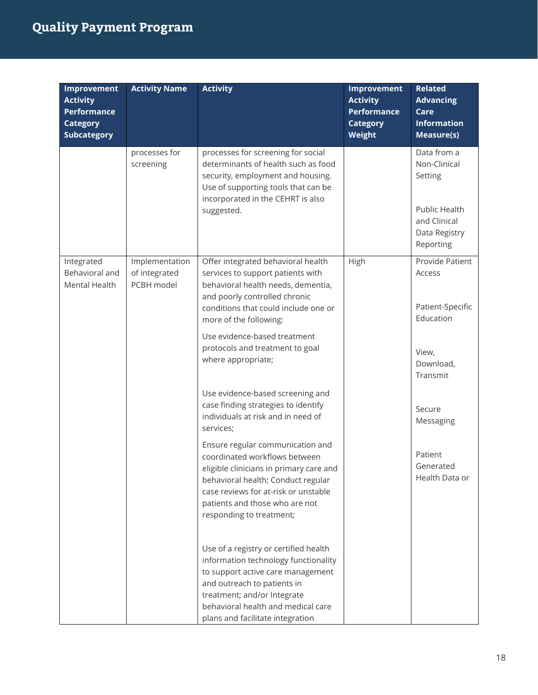| Improvement<br><b>Activity</b><br><b>Performance</b><br><b>Category</b><br><b>Subcategory</b> | <b>Activity Name</b>                          | <b>Activity</b>                                                                                                                                                                                                                                            | <b>Improvement</b><br><b>Activity</b><br>Performance<br><b>Category</b><br>Weight | <b>Related</b><br><b>Advancing</b><br>Care<br><b>Information</b><br>Measure(s)                        |
|-----------------------------------------------------------------------------------------------|-----------------------------------------------|------------------------------------------------------------------------------------------------------------------------------------------------------------------------------------------------------------------------------------------------------------|-----------------------------------------------------------------------------------|-------------------------------------------------------------------------------------------------------|
|                                                                                               | processes for<br>screening                    | processes for screening for social<br>determinants of health such as food<br>security, employment and housing.<br>Use of supporting tools that can be<br>incorporated in the CEHRT is also<br>suggested.                                                   |                                                                                   | Data from a<br>Non-Clinical<br>Setting<br>Public Health<br>and Clinical<br>Data Registry<br>Reporting |
| Integrated<br>Behavioral and<br>Mental Health                                                 | Implementation<br>of integrated<br>PCBH model | Offer integrated behavioral health<br>services to support patients with<br>behavioral health needs, dementia,<br>and poorly controlled chronic<br>conditions that could include one or<br>more of the following:                                           | High                                                                              | Provide Patient<br>Access<br>Patient-Specific<br>Education                                            |
|                                                                                               |                                               | Use evidence-based treatment<br>protocols and treatment to goal<br>where appropriate;                                                                                                                                                                      |                                                                                   | View,<br>Download,<br>Transmit                                                                        |
|                                                                                               |                                               | Use evidence-based screening and<br>case finding strategies to identify<br>individuals at risk and in need of<br>services;                                                                                                                                 |                                                                                   | Secure<br>Messaging                                                                                   |
|                                                                                               |                                               | Ensure regular communication and<br>coordinated workflows between<br>eligible clinicians in primary care and<br>behavioral health; Conduct regular<br>case reviews for at-risk or unstable<br>patients and those who are not<br>responding to treatment;   |                                                                                   | Patient<br>Generated<br>Health Data or                                                                |
|                                                                                               |                                               | Use of a registry or certified health<br>information technology functionality<br>to support active care management<br>and outreach to patients in<br>treatment; and/or Integrate<br>behavioral health and medical care<br>plans and facilitate integration |                                                                                   |                                                                                                       |